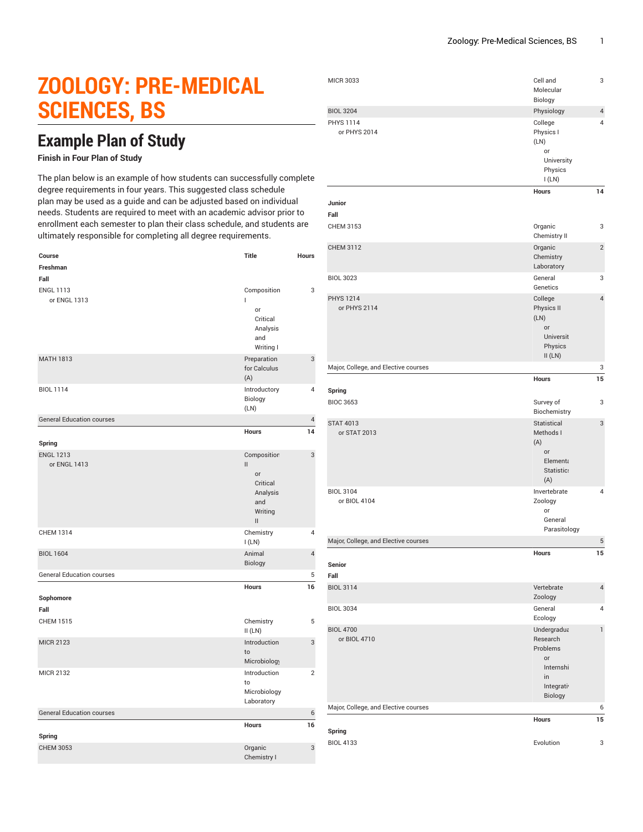## **ZOOLOGY: PRE-MEDICAL SCIENCES, BS**

## **Example Plan of Study**

## **Finish in Four Plan of Study**

The plan below is an example of how students can successfully complete degree requirements in four years. This suggested class schedule plan may be used as a guide and can be adjusted based on individual needs. Students are required to meet with an academic advisor prior to enrollment each semester to plan their class schedule, and students are ultimately responsible for completing all degree requirements.

| Course                           | <b>Title</b>                                                                                                              | Hours            |
|----------------------------------|---------------------------------------------------------------------------------------------------------------------------|------------------|
| Freshman                         |                                                                                                                           |                  |
| Fall                             |                                                                                                                           |                  |
| <b>ENGL 1113</b><br>or ENGL 1313 | Composition<br>П<br>or<br>Critical<br>Analysis<br>and<br>Writing I                                                        | 3                |
| <b>MATH 1813</b>                 | Preparation<br>for Calculus<br>(A)                                                                                        | 3                |
| <b>BIOL 1114</b>                 | Introductory<br>Biology<br>(LN)                                                                                           | 4                |
| <b>General Education courses</b> |                                                                                                                           | $\overline{4}$   |
| Spring                           | <b>Hours</b>                                                                                                              | 14               |
| <b>ENGL 1213</b><br>or ENGL 1413 | Composition<br>$\mathbf{II}$<br>or<br>Critical<br>Analysis<br>and<br>Writing<br>$\label{eq:1} \prod_{i=1}^n \mathbb{I}_i$ | 3                |
| <b>CHEM 1314</b>                 | Chemistry<br>I(LN)                                                                                                        | 4                |
| <b>BIOL 1604</b>                 | Animal<br>Biology                                                                                                         | $\overline{4}$   |
| <b>General Education courses</b> |                                                                                                                           | 5                |
| Sophomore<br>Fall                | Hours                                                                                                                     | 16               |
| <b>CHEM 1515</b>                 | Chemistry<br>II(LN)                                                                                                       | 5                |
| <b>MICR 2123</b>                 | Introduction<br>to<br>Microbiology                                                                                        | 3                |
| <b>MICR 2132</b>                 | Introduction<br>to<br>Microbiology<br>Laboratory                                                                          | $\overline{2}$   |
| <b>General Education courses</b> |                                                                                                                           | $\boldsymbol{6}$ |
| Spring                           | Hours                                                                                                                     | 16               |
| <b>CHEM 3053</b>                 | Organic<br>Chemistry I                                                                                                    | 3                |

| <b>MICR 3033</b>                     | Cell and<br>Molecular<br>Biology                                                            | 3              |
|--------------------------------------|---------------------------------------------------------------------------------------------|----------------|
| <b>BIOL 3204</b>                     | Physiology                                                                                  | $\overline{4}$ |
| <b>PHYS 1114</b><br>or PHYS 2014     | College<br>Physics I<br>(LN)<br>or<br>University<br>Physics<br>I(LN)                        | 4              |
| Junior<br>Fall                       | <b>Hours</b>                                                                                | 14             |
| CHEM 3153                            | Organic<br>Chemistry II                                                                     | 3              |
| <b>CHEM 3112</b>                     | Organic<br>Chemistry<br>Laboratory                                                          | $\overline{2}$ |
| <b>BIOL 3023</b>                     | General<br>Genetics                                                                         | 3              |
| <b>PHYS 1214</b><br>or PHYS 2114     | College<br>Physics II<br>(LN)<br>or<br>Universit<br>Physics<br>II(LN)                       | $\overline{4}$ |
| Major, College, and Elective courses |                                                                                             | 3              |
|                                      | <b>Hours</b>                                                                                | 15             |
| Spring<br><b>BIOC 3653</b>           | Survey of<br>Biochemistry                                                                   | 3              |
| <b>STAT 4013</b><br>or STAT 2013     | Statistical<br>Methods I<br>(A)<br>or<br>Element<br>Statistic:<br>(A)                       | 3              |
| <b>BIOL 3104</b><br>or BIOL 4104     | Invertebrate<br>Zoology<br>or<br>General<br>Parasitology                                    | 4              |
| Major, College, and Elective courses |                                                                                             | 5              |
| Senior<br>Fall                       | Hours                                                                                       | 15             |
| <b>BIOL 3114</b>                     | Vertebrate<br>Zoology                                                                       | $\overline{4}$ |
| <b>BIOL 3034</b>                     | General<br>Ecology                                                                          | $\overline{4}$ |
| <b>BIOL 4700</b><br>or BIOL 4710     | Undergradua<br>Research<br>Problems<br><b>or</b><br>Internshi<br>in<br>Integrati<br>Biology | $\mathbf{1}$   |
| Major, College, and Elective courses |                                                                                             | 6              |
|                                      | <b>Hours</b>                                                                                | 15             |
| Spring<br><b>BIOL 4133</b>           | Evolution                                                                                   | 3              |